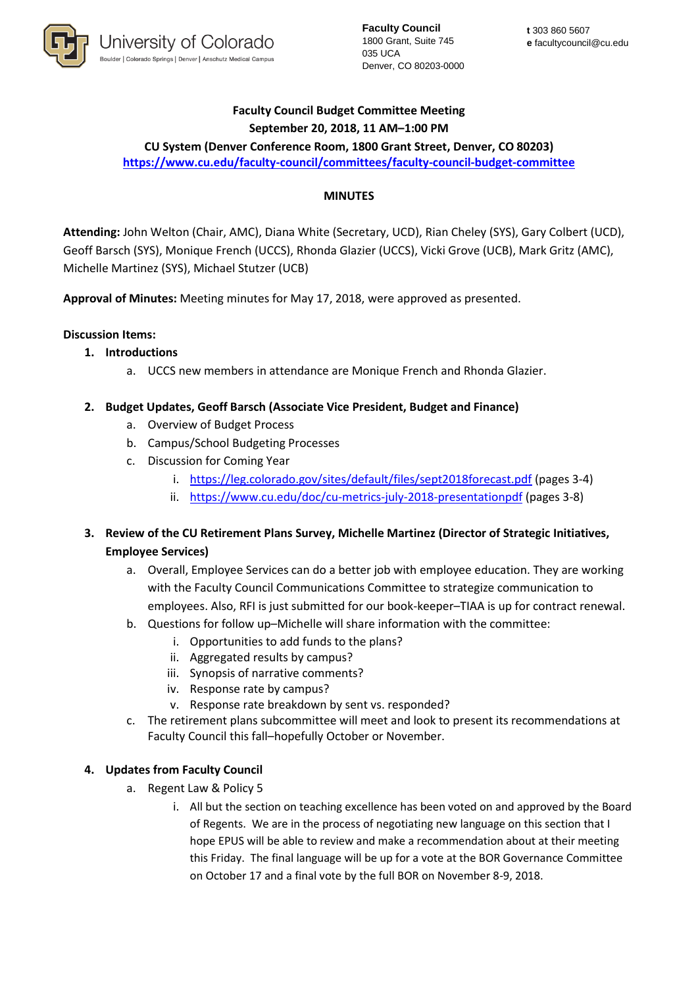

**Faculty Council** 1800 Grant, Suite 745 035 UCA Denver, CO 80203-0000

# **Faculty Council Budget Committee Meeting September 20, 2018, 11 AM–1:00 PM**

**CU System (Denver Conference Room, 1800 Grant Street, Denver, CO 80203) <https://www.cu.edu/faculty-council/committees/faculty-council-budget-committee>**

### **MINUTES**

**Attending:** John Welton (Chair, AMC), Diana White (Secretary, UCD), Rian Cheley (SYS), Gary Colbert (UCD), Geoff Barsch (SYS), Monique French (UCCS), Rhonda Glazier (UCCS), Vicki Grove (UCB), Mark Gritz (AMC), Michelle Martinez (SYS), Michael Stutzer (UCB)

**Approval of Minutes:** Meeting minutes for May 17, 2018, were approved as presented.

### **Discussion Items:**

### **1. Introductions**

a. UCCS new members in attendance are Monique French and Rhonda Glazier.

### **2. Budget Updates, Geoff Barsch (Associate Vice President, Budget and Finance)**

- a. Overview of Budget Process
- b. Campus/School Budgeting Processes
- c. Discussion for Coming Year
	- i. <https://leg.colorado.gov/sites/default/files/sept2018forecast.pdf> (pages 3-4)
	- ii. <https://www.cu.edu/doc/cu-metrics-july-2018-presentationpdf> (pages 3-8)
- **3. Review of the CU Retirement Plans Survey, Michelle Martinez (Director of Strategic Initiatives, Employee Services)**
	- a. Overall, Employee Services can do a better job with employee education. They are working with the Faculty Council Communications Committee to strategize communication to employees. Also, RFI is just submitted for our book-keeper–TIAA is up for contract renewal.
	- b. Questions for follow up–Michelle will share information with the committee:
		- i. Opportunities to add funds to the plans?
		- ii. Aggregated results by campus?
		- iii. Synopsis of narrative comments?
		- iv. Response rate by campus?
		- v. Response rate breakdown by sent vs. responded?
	- c. The retirement plans subcommittee will meet and look to present its recommendations at Faculty Council this fall–hopefully October or November.

#### **4. Updates from Faculty Council**

- a. Regent Law & Policy 5
	- i. All but the section on teaching excellence has been voted on and approved by the Board of Regents. We are in the process of negotiating new language on this section that I hope EPUS will be able to review and make a recommendation about at their meeting this Friday. The final language will be up for a vote at the BOR Governance Committee on October 17 and a final vote by the full BOR on November 8-9, 2018.